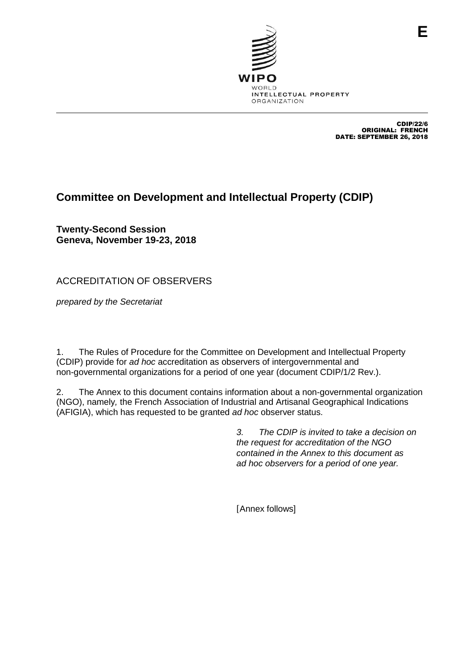

CDIP/22/6 ORIGINAL: FRENCH DATE: SEPTEMBER 26, 2018

## **Committee on Development and Intellectual Property (CDIP)**

**Twenty-Second Session Geneva, November 19-23, 2018**

ACCREDITATION OF OBSERVERS

*prepared by the Secretariat*

1. The Rules of Procedure for the Committee on Development and Intellectual Property (CDIP) provide for *ad hoc* accreditation as observers of intergovernmental and non-governmental organizations for a period of one year (document CDIP/1/2 Rev.).

2. The Annex to this document contains information about a non-governmental organization (NGO), namely*,* the French Association of Industrial and Artisanal Geographical Indications (AFIGIA), which has requested to be granted *ad hoc* observer status.

> *3. The CDIP is invited to take a decision on the request for accreditation of the NGO contained in the Annex to this document as ad hoc observers for a period of one year.*

[Annex follows]